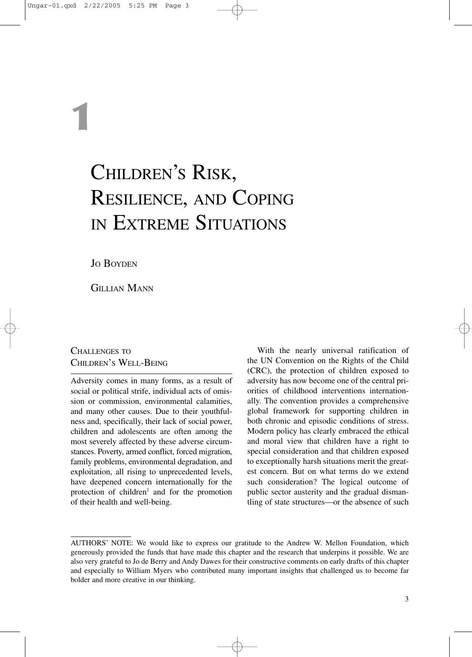**1**

# CHILDREN'S RISK, RESILIENCE, AND COPING IN EXTREME SITUATIONS

JO BOYDEN

GILLIAN MANN

# CHALLENGES TO CHILDREN'S WELL-BEING

Adversity comes in many forms, as a result of social or political strife, individual acts of omission or commission, environmental calamities, and many other causes. Due to their youthfulness and, specifically, their lack of social power, children and adolescents are often among the most severely affected by these adverse circumstances. Poverty, armed conflict, forced migration, family problems, environmental degradation, and exploitation, all rising to unprecedented levels, have deepened concern internationally for the protection of children<sup>1</sup> and for the promotion of their health and well-being.

With the nearly universal ratification of the UN Convention on the Rights of the Child (CRC), the protection of children exposed to adversity has now become one of the central priorities of childhood interventions internationally. The convention provides a comprehensive global framework for supporting children in both chronic and episodic conditions of stress. Modern policy has clearly embraced the ethical and moral view that children have a right to special consideration and that children exposed to exceptionally harsh situations merit the greatest concern. But on what terms do we extend such consideration? The logical outcome of public sector austerity and the gradual dismantling of state structures—or the absence of such

AUTHORS' NOTE: We would like to express our gratitude to the Andrew W. Mellon Foundation, which generously provided the funds that have made this chapter and the research that underpins it possible. We are also very grateful to Jo de Berry and Andy Dawes for their constructive comments on early drafts of this chapter and especially to William Myers who contributed many important insights that challenged us to become far bolder and more creative in our thinking.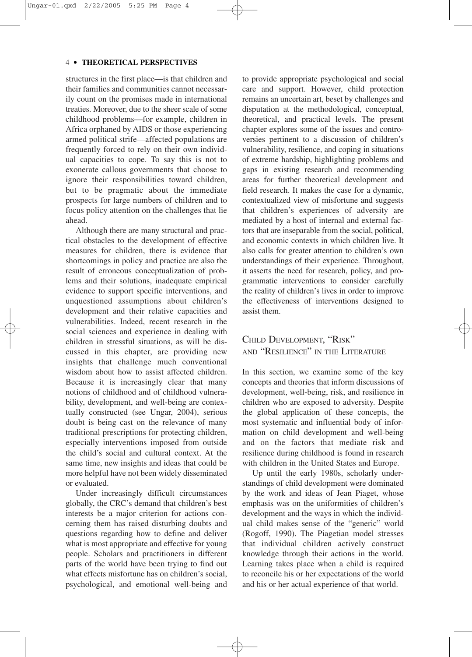structures in the first place—is that children and their families and communities cannot necessarily count on the promises made in international treaties. Moreover, due to the sheer scale of some childhood problems—for example, children in Africa orphaned by AIDS or those experiencing armed political strife—affected populations are frequently forced to rely on their own individual capacities to cope. To say this is not to exonerate callous governments that choose to ignore their responsibilities toward children, but to be pragmatic about the immediate prospects for large numbers of children and to focus policy attention on the challenges that lie ahead.

Although there are many structural and practical obstacles to the development of effective measures for children, there is evidence that shortcomings in policy and practice are also the result of erroneous conceptualization of problems and their solutions, inadequate empirical evidence to support specific interventions, and unquestioned assumptions about children's development and their relative capacities and vulnerabilities. Indeed, recent research in the social sciences and experience in dealing with children in stressful situations, as will be discussed in this chapter, are providing new insights that challenge much conventional wisdom about how to assist affected children. Because it is increasingly clear that many notions of childhood and of childhood vulnerability, development, and well-being are contextually constructed (see Ungar, 2004), serious doubt is being cast on the relevance of many traditional prescriptions for protecting children, especially interventions imposed from outside the child's social and cultural context. At the same time, new insights and ideas that could be more helpful have not been widely disseminated or evaluated.

Under increasingly difficult circumstances globally, the CRC's demand that children's best interests be a major criterion for actions concerning them has raised disturbing doubts and questions regarding how to define and deliver what is most appropriate and effective for young people. Scholars and practitioners in different parts of the world have been trying to find out what effects misfortune has on children's social, psychological, and emotional well-being and

to provide appropriate psychological and social care and support. However, child protection remains an uncertain art, beset by challenges and disputation at the methodological, conceptual, theoretical, and practical levels. The present chapter explores some of the issues and controversies pertinent to a discussion of children's vulnerability, resilience, and coping in situations of extreme hardship, highlighting problems and gaps in existing research and recommending areas for further theoretical development and field research. It makes the case for a dynamic, contextualized view of misfortune and suggests that children's experiences of adversity are mediated by a host of internal and external factors that are inseparable from the social, political, and economic contexts in which children live. It also calls for greater attention to children's own understandings of their experience. Throughout, it asserts the need for research, policy, and programmatic interventions to consider carefully the reality of children's lives in order to improve the effectiveness of interventions designed to assist them.

# CHILD DEVELOPMENT, "RISK" AND "RESILIENCE" IN THE LITERATURE

In this section, we examine some of the key concepts and theories that inform discussions of development, well-being, risk, and resilience in children who are exposed to adversity. Despite the global application of these concepts, the most systematic and influential body of information on child development and well-being and on the factors that mediate risk and resilience during childhood is found in research with children in the United States and Europe.

Up until the early 1980s, scholarly understandings of child development were dominated by the work and ideas of Jean Piaget, whose emphasis was on the uniformities of children's development and the ways in which the individual child makes sense of the "generic" world (Rogoff, 1990). The Piagetian model stresses that individual children actively construct knowledge through their actions in the world. Learning takes place when a child is required to reconcile his or her expectations of the world and his or her actual experience of that world.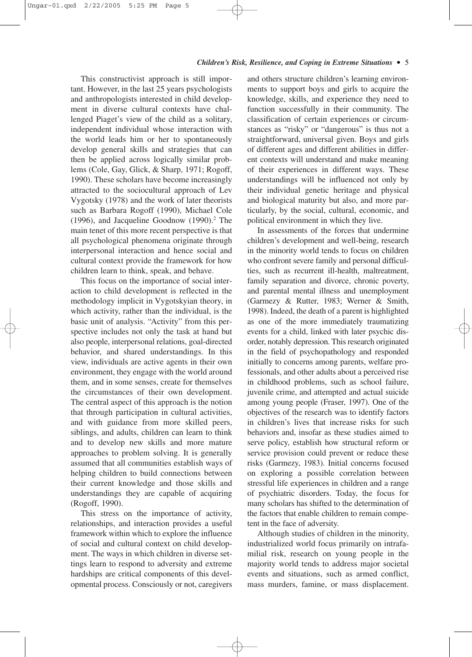This constructivist approach is still important. However, in the last 25 years psychologists and anthropologists interested in child development in diverse cultural contexts have challenged Piaget's view of the child as a solitary, independent individual whose interaction with the world leads him or her to spontaneously develop general skills and strategies that can then be applied across logically similar problems (Cole, Gay, Glick, & Sharp, 1971; Rogoff, 1990). These scholars have become increasingly attracted to the sociocultural approach of Lev Vygotsky (1978) and the work of later theorists such as Barbara Rogoff (1990), Michael Cole (1996), and Jacqueline Goodnow  $(1990)$ .<sup>2</sup> The main tenet of this more recent perspective is that all psychological phenomena originate through interpersonal interaction and hence social and cultural context provide the framework for how children learn to think, speak, and behave.

This focus on the importance of social interaction to child development is reflected in the methodology implicit in Vygotskyian theory, in which activity, rather than the individual, is the basic unit of analysis. "Activity" from this perspective includes not only the task at hand but also people, interpersonal relations, goal-directed behavior, and shared understandings. In this view, individuals are active agents in their own environment, they engage with the world around them, and in some senses, create for themselves the circumstances of their own development. The central aspect of this approach is the notion that through participation in cultural activities, and with guidance from more skilled peers, siblings, and adults, children can learn to think and to develop new skills and more mature approaches to problem solving. It is generally assumed that all communities establish ways of helping children to build connections between their current knowledge and those skills and understandings they are capable of acquiring (Rogoff, 1990).

This stress on the importance of activity, relationships, and interaction provides a useful framework within which to explore the influence of social and cultural context on child development. The ways in which children in diverse settings learn to respond to adversity and extreme hardships are critical components of this developmental process. Consciously or not, caregivers and others structure children's learning environments to support boys and girls to acquire the knowledge, skills, and experience they need to function successfully in their community. The classification of certain experiences or circumstances as "risky" or "dangerous" is thus not a straightforward, universal given. Boys and girls of different ages and different abilities in different contexts will understand and make meaning of their experiences in different ways. These understandings will be influenced not only by their individual genetic heritage and physical and biological maturity but also, and more particularly, by the social, cultural, economic, and political environment in which they live.

In assessments of the forces that undermine children's development and well-being, research in the minority world tends to focus on children who confront severe family and personal difficulties, such as recurrent ill-health, maltreatment, family separation and divorce, chronic poverty, and parental mental illness and unemployment (Garmezy & Rutter, 1983; Werner & Smith, 1998). Indeed, the death of a parent is highlighted as one of the more immediately traumatizing events for a child, linked with later psychic disorder, notably depression. This research originated in the field of psychopathology and responded initially to concerns among parents, welfare professionals, and other adults about a perceived rise in childhood problems, such as school failure, juvenile crime, and attempted and actual suicide among young people (Fraser, 1997). One of the objectives of the research was to identify factors in children's lives that increase risks for such behaviors and, insofar as these studies aimed to serve policy, establish how structural reform or service provision could prevent or reduce these risks (Garmezy, 1983). Initial concerns focused on exploring a possible correlation between stressful life experiences in children and a range of psychiatric disorders. Today, the focus for many scholars has shifted to the determination of the factors that enable children to remain competent in the face of adversity.

Although studies of children in the minority, industrialized world focus primarily on intrafamilial risk, research on young people in the majority world tends to address major societal events and situations, such as armed conflict, mass murders, famine, or mass displacement.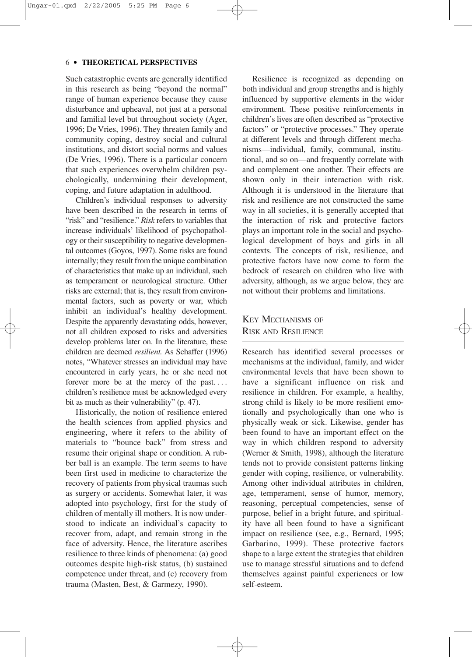Such catastrophic events are generally identified in this research as being "beyond the normal" range of human experience because they cause disturbance and upheaval, not just at a personal and familial level but throughout society (Ager, 1996; De Vries, 1996). They threaten family and community coping, destroy social and cultural institutions, and distort social norms and values (De Vries, 1996). There is a particular concern that such experiences overwhelm children psychologically, undermining their development, coping, and future adaptation in adulthood.

Children's individual responses to adversity have been described in the research in terms of "risk" and "resilience." *Risk* refers to variables that increase individuals' likelihood of psychopathology or their susceptibility to negative developmental outcomes (Goyos, 1997). Some risks are found internally; they result from the unique combination of characteristics that make up an individual, such as temperament or neurological structure. Other risks are external; that is, they result from environmental factors, such as poverty or war, which inhibit an individual's healthy development. Despite the apparently devastating odds, however, not all children exposed to risks and adversities develop problems later on. In the literature, these children are deemed *resilient.* As Schaffer (1996) notes, "Whatever stresses an individual may have encountered in early years, he or she need not forever more be at the mercy of the past.... children's resilience must be acknowledged every bit as much as their vulnerability" (p. 47).

Historically, the notion of resilience entered the health sciences from applied physics and engineering, where it refers to the ability of materials to "bounce back" from stress and resume their original shape or condition. A rubber ball is an example. The term seems to have been first used in medicine to characterize the recovery of patients from physical traumas such as surgery or accidents. Somewhat later, it was adopted into psychology, first for the study of children of mentally ill mothers. It is now understood to indicate an individual's capacity to recover from, adapt, and remain strong in the face of adversity. Hence, the literature ascribes resilience to three kinds of phenomena: (a) good outcomes despite high-risk status, (b) sustained competence under threat, and (c) recovery from trauma (Masten, Best, & Garmezy, 1990).

Resilience is recognized as depending on both individual and group strengths and is highly influenced by supportive elements in the wider environment. These positive reinforcements in children's lives are often described as "protective factors" or "protective processes." They operate at different levels and through different mechanisms—individual, family, communal, institutional, and so on—and frequently correlate with and complement one another. Their effects are shown only in their interaction with risk. Although it is understood in the literature that risk and resilience are not constructed the same way in all societies, it is generally accepted that the interaction of risk and protective factors plays an important role in the social and psychological development of boys and girls in all contexts. The concepts of risk, resilience, and protective factors have now come to form the bedrock of research on children who live with adversity, although, as we argue below, they are not without their problems and limitations.

# KEY MECHANISMS OF RISK AND RESILIENCE

Research has identified several processes or mechanisms at the individual, family, and wider environmental levels that have been shown to have a significant influence on risk and resilience in children. For example, a healthy, strong child is likely to be more resilient emotionally and psychologically than one who is physically weak or sick. Likewise, gender has been found to have an important effect on the way in which children respond to adversity (Werner & Smith, 1998), although the literature tends not to provide consistent patterns linking gender with coping, resilience, or vulnerability. Among other individual attributes in children, age, temperament, sense of humor, memory, reasoning, perceptual competencies, sense of purpose, belief in a bright future, and spirituality have all been found to have a significant impact on resilience (see, e.g., Bernard, 1995; Garbarino, 1999). These protective factors shape to a large extent the strategies that children use to manage stressful situations and to defend themselves against painful experiences or low self-esteem.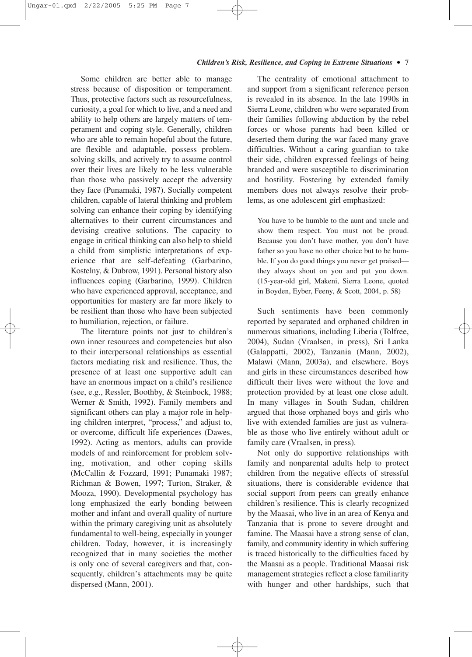Some children are better able to manage stress because of disposition or temperament. Thus, protective factors such as resourcefulness, curiosity, a goal for which to live, and a need and ability to help others are largely matters of temperament and coping style. Generally, children who are able to remain hopeful about the future, are flexible and adaptable, possess problemsolving skills, and actively try to assume control over their lives are likely to be less vulnerable than those who passively accept the adversity they face (Punamaki, 1987). Socially competent children, capable of lateral thinking and problem solving can enhance their coping by identifying alternatives to their current circumstances and devising creative solutions. The capacity to engage in critical thinking can also help to shield a child from simplistic interpretations of experience that are self-defeating (Garbarino, Kostelny, & Dubrow, 1991). Personal history also influences coping (Garbarino, 1999). Children who have experienced approval, acceptance, and opportunities for mastery are far more likely to be resilient than those who have been subjected to humiliation, rejection, or failure.

The literature points not just to children's own inner resources and competencies but also to their interpersonal relationships as essential factors mediating risk and resilience. Thus, the presence of at least one supportive adult can have an enormous impact on a child's resilience (see, e.g., Ressler, Boothby, & Steinbock, 1988; Werner & Smith, 1992). Family members and significant others can play a major role in helping children interpret, "process," and adjust to, or overcome, difficult life experiences (Dawes, 1992). Acting as mentors, adults can provide models of and reinforcement for problem solving, motivation, and other coping skills (McCallin & Fozzard, 1991; Punamaki 1987; Richman & Bowen, 1997; Turton, Straker, & Mooza, 1990). Developmental psychology has long emphasized the early bonding between mother and infant and overall quality of nurture within the primary caregiving unit as absolutely fundamental to well-being, especially in younger children. Today, however, it is increasingly recognized that in many societies the mother is only one of several caregivers and that, consequently, children's attachments may be quite dispersed (Mann, 2001).

The centrality of emotional attachment to and support from a significant reference person is revealed in its absence. In the late 1990s in Sierra Leone, children who were separated from their families following abduction by the rebel forces or whose parents had been killed or deserted them during the war faced many grave difficulties. Without a caring guardian to take their side, children expressed feelings of being branded and were susceptible to discrimination and hostility. Fostering by extended family members does not always resolve their problems, as one adolescent girl emphasized:

You have to be humble to the aunt and uncle and show them respect. You must not be proud. Because you don't have mother, you don't have father so you have no other choice but to be humble. If you do good things you never get praised they always shout on you and put you down. (15-year-old girl, Makeni, Sierra Leone, quoted in Boyden, Eyber, Feeny, & Scott, 2004, p. 58)

Such sentiments have been commonly reported by separated and orphaned children in numerous situations, including Liberia (Tolfree, 2004), Sudan (Vraalsen, in press), Sri Lanka (Galappatti, 2002), Tanzania (Mann, 2002), Malawi (Mann, 2003a), and elsewhere. Boys and girls in these circumstances described how difficult their lives were without the love and protection provided by at least one close adult. In many villages in South Sudan, children argued that those orphaned boys and girls who live with extended families are just as vulnerable as those who live entirely without adult or family care (Vraalsen, in press).

Not only do supportive relationships with family and nonparental adults help to protect children from the negative effects of stressful situations, there is considerable evidence that social support from peers can greatly enhance children's resilience. This is clearly recognized by the Maasai, who live in an area of Kenya and Tanzania that is prone to severe drought and famine. The Maasai have a strong sense of clan, family, and community identity in which suffering is traced historically to the difficulties faced by the Maasai as a people. Traditional Maasai risk management strategies reflect a close familiarity with hunger and other hardships, such that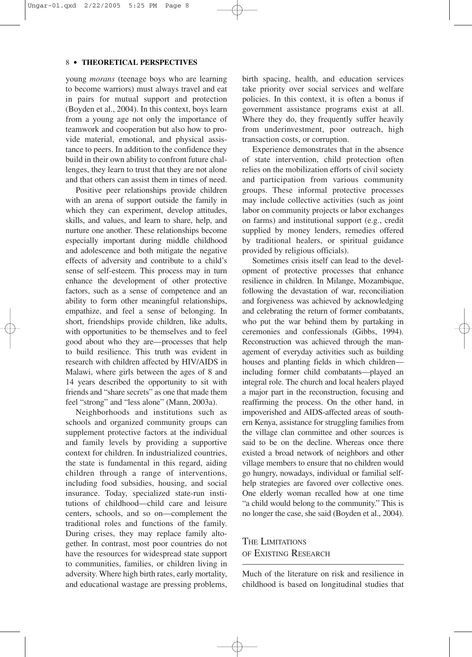young *morans* (teenage boys who are learning to become warriors) must always travel and eat in pairs for mutual support and protection (Boyden et al., 2004). In this context, boys learn from a young age not only the importance of teamwork and cooperation but also how to provide material, emotional, and physical assistance to peers. In addition to the confidence they build in their own ability to confront future challenges, they learn to trust that they are not alone and that others can assist them in times of need.

Positive peer relationships provide children with an arena of support outside the family in which they can experiment, develop attitudes, skills, and values, and learn to share, help, and nurture one another. These relationships become especially important during middle childhood and adolescence and both mitigate the negative effects of adversity and contribute to a child's sense of self-esteem. This process may in turn enhance the development of other protective factors, such as a sense of competence and an ability to form other meaningful relationships, empathize, and feel a sense of belonging. In short, friendships provide children, like adults, with opportunities to be themselves and to feel good about who they are—processes that help to build resilience. This truth was evident in research with children affected by HIV/AIDS in Malawi, where girls between the ages of 8 and 14 years described the opportunity to sit with friends and "share secrets" as one that made them feel "strong" and "less alone" (Mann, 2003a).

Neighborhoods and institutions such as schools and organized community groups can supplement protective factors at the individual and family levels by providing a supportive context for children. In industrialized countries, the state is fundamental in this regard, aiding children through a range of interventions, including food subsidies, housing, and social insurance. Today, specialized state-run institutions of childhood—child care and leisure centers, schools, and so on—complement the traditional roles and functions of the family. During crises, they may replace family altogether. In contrast, most poor countries do not have the resources for widespread state support to communities, families, or children living in adversity. Where high birth rates, early mortality, and educational wastage are pressing problems,

birth spacing, health, and education services take priority over social services and welfare policies. In this context, it is often a bonus if government assistance programs exist at all. Where they do, they frequently suffer heavily from underinvestment, poor outreach, high transaction costs, or corruption.

Experience demonstrates that in the absence of state intervention, child protection often relies on the mobilization efforts of civil society and participation from various community groups. These informal protective processes may include collective activities (such as joint labor on community projects or labor exchanges on farms) and institutional support (e.g., credit supplied by money lenders, remedies offered by traditional healers, or spiritual guidance provided by religious officials).

Sometimes crisis itself can lead to the development of protective processes that enhance resilience in children. In Milange, Mozambique, following the devastation of war, reconciliation and forgiveness was achieved by acknowledging and celebrating the return of former combatants, who put the war behind them by partaking in ceremonies and confessionals (Gibbs, 1994). Reconstruction was achieved through the management of everyday activities such as building houses and planting fields in which children including former child combatants—played an integral role. The church and local healers played a major part in the reconstruction, focusing and reaffirming the process. On the other hand, in impoverished and AIDS-affected areas of southern Kenya, assistance for struggling families from the village clan committee and other sources is said to be on the decline. Whereas once there existed a broad network of neighbors and other village members to ensure that no children would go hungry, nowadays, individual or familial selfhelp strategies are favored over collective ones. One elderly woman recalled how at one time "a child would belong to the community." This is no longer the case, she said (Boyden et al., 2004).

# THE LIMITATIONS OF EXISTING RESEARCH

Much of the literature on risk and resilience in childhood is based on longitudinal studies that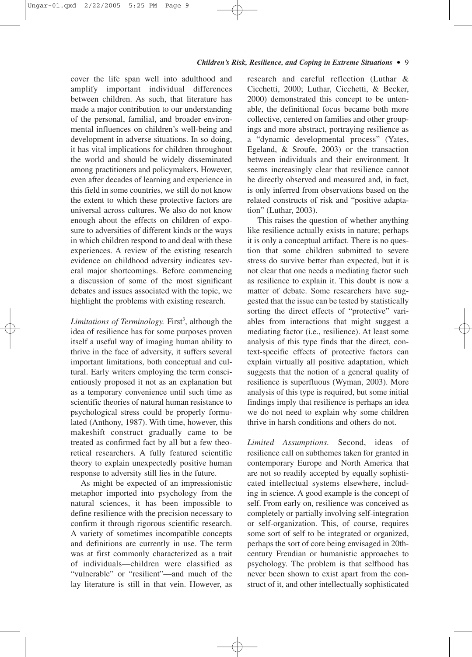cover the life span well into adulthood and amplify important individual differences between children. As such, that literature has made a major contribution to our understanding of the personal, familial, and broader environmental influences on children's well-being and development in adverse situations. In so doing, it has vital implications for children throughout the world and should be widely disseminated among practitioners and policymakers. However, even after decades of learning and experience in this field in some countries, we still do not know the extent to which these protective factors are universal across cultures. We also do not know enough about the effects on children of exposure to adversities of different kinds or the ways in which children respond to and deal with these experiences. A review of the existing research evidence on childhood adversity indicates several major shortcomings. Before commencing a discussion of some of the most significant debates and issues associated with the topic, we highlight the problems with existing research.

Limitations of Terminology. First<sup>3</sup>, although the idea of resilience has for some purposes proven itself a useful way of imaging human ability to thrive in the face of adversity, it suffers several important limitations, both conceptual and cultural. Early writers employing the term conscientiously proposed it not as an explanation but as a temporary convenience until such time as scientific theories of natural human resistance to psychological stress could be properly formulated (Anthony, 1987). With time, however, this makeshift construct gradually came to be treated as confirmed fact by all but a few theoretical researchers. A fully featured scientific theory to explain unexpectedly positive human response to adversity still lies in the future.

As might be expected of an impressionistic metaphor imported into psychology from the natural sciences, it has been impossible to define resilience with the precision necessary to confirm it through rigorous scientific research. A variety of sometimes incompatible concepts and definitions are currently in use. The term was at first commonly characterized as a trait of individuals—children were classified as "vulnerable" or "resilient"—and much of the lay literature is still in that vein. However, as research and careful reflection (Luthar & Cicchetti, 2000; Luthar, Cicchetti, & Becker, 2000) demonstrated this concept to be untenable, the definitional focus became both more collective, centered on families and other groupings and more abstract, portraying resilience as a "dynamic developmental process" (Yates, Egeland, & Sroufe, 2003) or the transaction between individuals and their environment. It seems increasingly clear that resilience cannot be directly observed and measured and, in fact, is only inferred from observations based on the related constructs of risk and "positive adaptation" (Luthar, 2003).

This raises the question of whether anything like resilience actually exists in nature; perhaps it is only a conceptual artifact. There is no question that some children submitted to severe stress do survive better than expected, but it is not clear that one needs a mediating factor such as resilience to explain it. This doubt is now a matter of debate. Some researchers have suggested that the issue can be tested by statistically sorting the direct effects of "protective" variables from interactions that might suggest a mediating factor (i.e., resilience). At least some analysis of this type finds that the direct, context-specific effects of protective factors can explain virtually all positive adaptation, which suggests that the notion of a general quality of resilience is superfluous (Wyman, 2003). More analysis of this type is required, but some initial findings imply that resilience is perhaps an idea we do not need to explain why some children thrive in harsh conditions and others do not.

*Limited Assumptions.* Second, ideas of resilience call on subthemes taken for granted in contemporary Europe and North America that are not so readily accepted by equally sophisticated intellectual systems elsewhere, including in science. A good example is the concept of self. From early on, resilience was conceived as completely or partially involving self-integration or self-organization. This, of course, requires some sort of self to be integrated or organized, perhaps the sort of core being envisaged in 20thcentury Freudian or humanistic approaches to psychology. The problem is that selfhood has never been shown to exist apart from the construct of it, and other intellectually sophisticated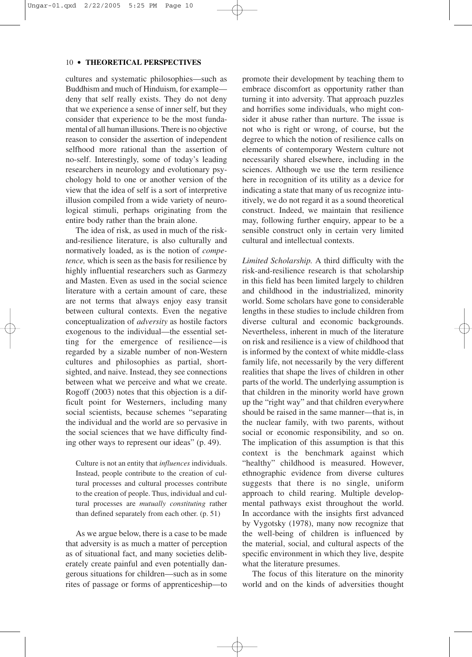cultures and systematic philosophies—such as Buddhism and much of Hinduism, for example deny that self really exists. They do not deny that we experience a sense of inner self, but they consider that experience to be the most fundamental of all human illusions. There is no objective reason to consider the assertion of independent selfhood more rational than the assertion of no-self. Interestingly, some of today's leading researchers in neurology and evolutionary psychology hold to one or another version of the view that the idea of self is a sort of interpretive illusion compiled from a wide variety of neurological stimuli, perhaps originating from the entire body rather than the brain alone.

The idea of risk, as used in much of the riskand-resilience literature, is also culturally and normatively loaded, as is the notion of *competence,* which is seen as the basis for resilience by highly influential researchers such as Garmezy and Masten. Even as used in the social science literature with a certain amount of care, these are not terms that always enjoy easy transit between cultural contexts. Even the negative conceptualization of *adversity* as hostile factors exogenous to the individual—the essential setting for the emergence of resilience—is regarded by a sizable number of non-Western cultures and philosophies as partial, shortsighted, and naive. Instead, they see connections between what we perceive and what we create. Rogoff (2003) notes that this objection is a difficult point for Westerners, including many social scientists, because schemes "separating the individual and the world are so pervasive in the social sciences that we have difficulty finding other ways to represent our ideas" (p. 49).

Culture is not an entity that *influences* individuals. Instead, people contribute to the creation of cultural processes and cultural processes contribute to the creation of people. Thus, individual and cultural processes are *mutually constituting* rather than defined separately from each other. (p. 51)

As we argue below, there is a case to be made that adversity is as much a matter of perception as of situational fact, and many societies deliberately create painful and even potentially dangerous situations for children—such as in some rites of passage or forms of apprenticeship—to

promote their development by teaching them to embrace discomfort as opportunity rather than turning it into adversity. That approach puzzles and horrifies some individuals, who might consider it abuse rather than nurture. The issue is not who is right or wrong, of course, but the degree to which the notion of resilience calls on elements of contemporary Western culture not necessarily shared elsewhere, including in the sciences. Although we use the term resilience here in recognition of its utility as a device for indicating a state that many of us recognize intuitively, we do not regard it as a sound theoretical construct. Indeed, we maintain that resilience may, following further enquiry, appear to be a sensible construct only in certain very limited cultural and intellectual contexts.

*Limited Scholarship.* A third difficulty with the risk-and-resilience research is that scholarship in this field has been limited largely to children and childhood in the industrialized, minority world. Some scholars have gone to considerable lengths in these studies to include children from diverse cultural and economic backgrounds. Nevertheless, inherent in much of the literature on risk and resilience is a view of childhood that is informed by the context of white middle-class family life, not necessarily by the very different realities that shape the lives of children in other parts of the world. The underlying assumption is that children in the minority world have grown up the "right way" and that children everywhere should be raised in the same manner—that is, in the nuclear family, with two parents, without social or economic responsibility, and so on. The implication of this assumption is that this context is the benchmark against which "healthy" childhood is measured. However, ethnographic evidence from diverse cultures suggests that there is no single, uniform approach to child rearing. Multiple developmental pathways exist throughout the world. In accordance with the insights first advanced by Vygotsky (1978), many now recognize that the well-being of children is influenced by the material, social, and cultural aspects of the specific environment in which they live, despite what the literature presumes.

The focus of this literature on the minority world and on the kinds of adversities thought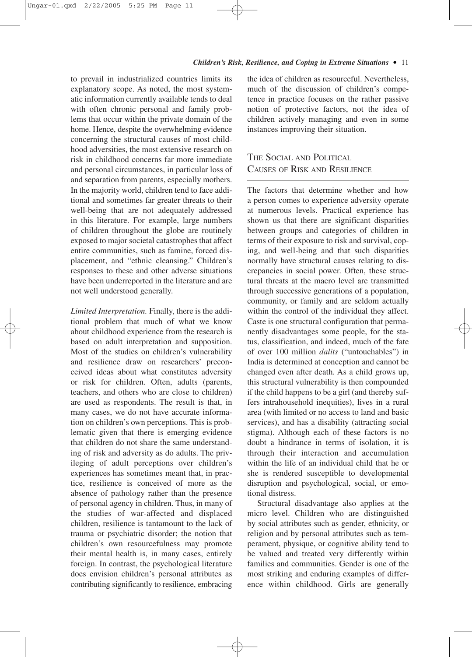to prevail in industrialized countries limits its explanatory scope. As noted, the most systematic information currently available tends to deal with often chronic personal and family problems that occur within the private domain of the home. Hence, despite the overwhelming evidence concerning the structural causes of most childhood adversities, the most extensive research on risk in childhood concerns far more immediate and personal circumstances, in particular loss of and separation from parents, especially mothers. In the majority world, children tend to face additional and sometimes far greater threats to their well-being that are not adequately addressed in this literature. For example, large numbers of children throughout the globe are routinely exposed to major societal catastrophes that affect entire communities, such as famine, forced displacement, and "ethnic cleansing." Children's responses to these and other adverse situations have been underreported in the literature and are not well understood generally.

*Limited Interpretation.* Finally, there is the additional problem that much of what we know about childhood experience from the research is based on adult interpretation and supposition. Most of the studies on children's vulnerability and resilience draw on researchers' preconceived ideas about what constitutes adversity or risk for children. Often, adults (parents, teachers, and others who are close to children) are used as respondents. The result is that, in many cases, we do not have accurate information on children's own perceptions. This is problematic given that there is emerging evidence that children do not share the same understanding of risk and adversity as do adults. The privileging of adult perceptions over children's experiences has sometimes meant that, in practice, resilience is conceived of more as the absence of pathology rather than the presence of personal agency in children. Thus, in many of the studies of war-affected and displaced children, resilience is tantamount to the lack of trauma or psychiatric disorder; the notion that children's own resourcefulness may promote their mental health is, in many cases, entirely foreign. In contrast, the psychological literature does envision children's personal attributes as contributing significantly to resilience, embracing the idea of children as resourceful. Nevertheless, much of the discussion of children's competence in practice focuses on the rather passive notion of protective factors, not the idea of children actively managing and even in some instances improving their situation.

# THE SOCIAL AND POLITICAL CAUSES OF RISK AND RESILIENCE

The factors that determine whether and how a person comes to experience adversity operate at numerous levels. Practical experience has shown us that there are significant disparities between groups and categories of children in terms of their exposure to risk and survival, coping, and well-being and that such disparities normally have structural causes relating to discrepancies in social power. Often, these structural threats at the macro level are transmitted through successive generations of a population, community, or family and are seldom actually within the control of the individual they affect. Caste is one structural configuration that permanently disadvantages some people, for the status, classification, and indeed, much of the fate of over 100 million *dalits* ("untouchables") in India is determined at conception and cannot be changed even after death. As a child grows up, this structural vulnerability is then compounded if the child happens to be a girl (and thereby suffers intrahousehold inequities), lives in a rural area (with limited or no access to land and basic services), and has a disability (attracting social stigma). Although each of these factors is no doubt a hindrance in terms of isolation, it is through their interaction and accumulation within the life of an individual child that he or she is rendered susceptible to developmental disruption and psychological, social, or emotional distress.

Structural disadvantage also applies at the micro level. Children who are distinguished by social attributes such as gender, ethnicity, or religion and by personal attributes such as temperament, physique, or cognitive ability tend to be valued and treated very differently within families and communities. Gender is one of the most striking and enduring examples of difference within childhood. Girls are generally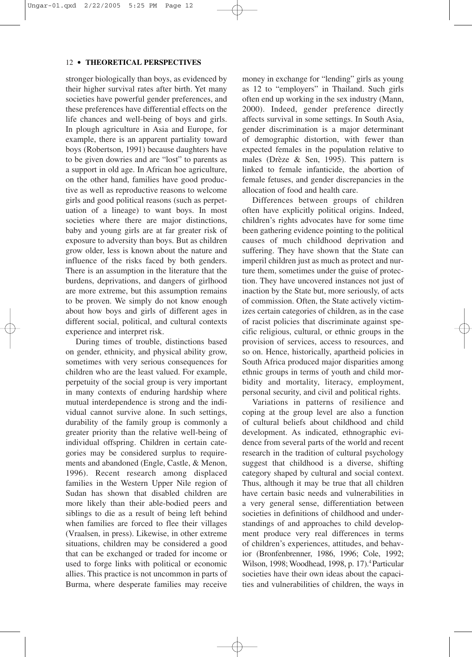stronger biologically than boys, as evidenced by their higher survival rates after birth. Yet many societies have powerful gender preferences, and these preferences have differential effects on the life chances and well-being of boys and girls. In plough agriculture in Asia and Europe, for example, there is an apparent partiality toward boys (Robertson, 1991) because daughters have to be given dowries and are "lost" to parents as a support in old age. In African hoe agriculture, on the other hand, families have good productive as well as reproductive reasons to welcome girls and good political reasons (such as perpetuation of a lineage) to want boys. In most societies where there are major distinctions, baby and young girls are at far greater risk of exposure to adversity than boys. But as children grow older, less is known about the nature and influence of the risks faced by both genders. There is an assumption in the literature that the burdens, deprivations, and dangers of girlhood are more extreme, but this assumption remains to be proven. We simply do not know enough about how boys and girls of different ages in different social, political, and cultural contexts experience and interpret risk.

During times of trouble, distinctions based on gender, ethnicity, and physical ability grow, sometimes with very serious consequences for children who are the least valued. For example, perpetuity of the social group is very important in many contexts of enduring hardship where mutual interdependence is strong and the individual cannot survive alone. In such settings, durability of the family group is commonly a greater priority than the relative well-being of individual offspring. Children in certain categories may be considered surplus to requirements and abandoned (Engle, Castle, & Menon, 1996). Recent research among displaced families in the Western Upper Nile region of Sudan has shown that disabled children are more likely than their able-bodied peers and siblings to die as a result of being left behind when families are forced to flee their villages (Vraalsen, in press). Likewise, in other extreme situations, children may be considered a good that can be exchanged or traded for income or used to forge links with political or economic allies. This practice is not uncommon in parts of Burma, where desperate families may receive money in exchange for "lending" girls as young as 12 to "employers" in Thailand. Such girls often end up working in the sex industry (Mann, 2000). Indeed, gender preference directly affects survival in some settings. In South Asia, gender discrimination is a major determinant of demographic distortion, with fewer than expected females in the population relative to males (Drèze & Sen, 1995). This pattern is linked to female infanticide, the abortion of female fetuses, and gender discrepancies in the allocation of food and health care.

Differences between groups of children often have explicitly political origins. Indeed, children's rights advocates have for some time been gathering evidence pointing to the political causes of much childhood deprivation and suffering. They have shown that the State can imperil children just as much as protect and nurture them, sometimes under the guise of protection. They have uncovered instances not just of inaction by the State but, more seriously, of acts of commission. Often, the State actively victimizes certain categories of children, as in the case of racist policies that discriminate against specific religious, cultural, or ethnic groups in the provision of services, access to resources, and so on. Hence, historically, apartheid policies in South Africa produced major disparities among ethnic groups in terms of youth and child morbidity and mortality, literacy, employment, personal security, and civil and political rights.

Variations in patterns of resilience and coping at the group level are also a function of cultural beliefs about childhood and child development. As indicated, ethnographic evidence from several parts of the world and recent research in the tradition of cultural psychology suggest that childhood is a diverse, shifting category shaped by cultural and social context. Thus, although it may be true that all children have certain basic needs and vulnerabilities in a very general sense, differentiation between societies in definitions of childhood and understandings of and approaches to child development produce very real differences in terms of children's experiences, attitudes, and behavior (Bronfenbrenner, 1986, 1996; Cole, 1992; Wilson, 1998; Woodhead, 1998, p. 17).<sup>4</sup> Particular societies have their own ideas about the capacities and vulnerabilities of children, the ways in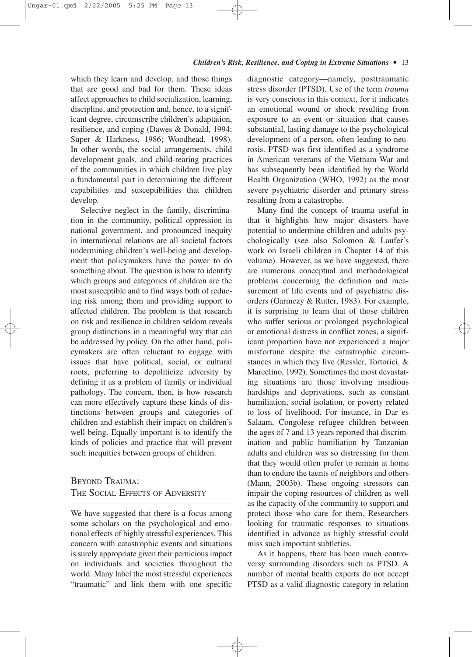#### Ungar-01.qxd 2/22/2005 5:25 PM Page 13

# *Children's Risk, Resilience, and Coping in Extreme Situations*–•–13

which they learn and develop, and those things that are good and bad for them. These ideas affect approaches to child socialization, learning, discipline, and protection and, hence, to a significant degree, circumscribe children's adaptation, resilience, and coping (Dawes & Donald, 1994; Super & Harkness, 1986; Woodhead, 1998). In other words, the social arrangements, child development goals, and child-rearing practices of the communities in which children live play a fundamental part in determining the different capabilities and susceptibilities that children develop.

Selective neglect in the family, discrimination in the community, political oppression in national government, and pronounced inequity in international relations are all societal factors undermining children's well-being and development that policymakers have the power to do something about. The question is how to identify which groups and categories of children are the most susceptible and to find ways both of reducing risk among them and providing support to affected children. The problem is that research on risk and resilience in children seldom reveals group distinctions in a meaningful way that can be addressed by policy. On the other hand, policymakers are often reluctant to engage with issues that have political, social, or cultural roots, preferring to depoliticize adversity by defining it as a problem of family or individual pathology. The concern, then, is how research can more effectively capture these kinds of distinctions between groups and categories of children and establish their impact on children's well-being. Equally important is to identify the kinds of policies and practice that will prevent such inequities between groups of children.

# BEYOND TRAUMA: THE SOCIAL EFFECTS OF ADVERSITY

We have suggested that there is a focus among some scholars on the psychological and emotional effects of highly stressful experiences. This concern with catastrophic events and situations is surely appropriate given their pernicious impact on individuals and societies throughout the world. Many label the most stressful experiences "traumatic" and link them with one specific diagnostic category—namely, posttraumatic stress disorder (PTSD). Use of the term *trauma* is very conscious in this context, for it indicates an emotional wound or shock resulting from exposure to an event or situation that causes substantial, lasting damage to the psychological development of a person, often leading to neurosis. PTSD was first identified as a syndrome in American veterans of the Vietnam War and has subsequently been identified by the World Health Organization (WHO, 1992) as the most severe psychiatric disorder and primary stress resulting from a catastrophe.

Many find the concept of trauma useful in that it highlights how major disasters have potential to undermine children and adults psychologically (see also Solomon & Laufer's work on Israeli children in Chapter 14 of this volume). However, as we have suggested, there are numerous conceptual and methodological problems concerning the definition and measurement of life events and of psychiatric disorders (Garmezy & Rutter, 1983). For example, it is surprising to learn that of those children who suffer serious or prolonged psychological or emotional distress in conflict zones, a significant proportion have not experienced a major misfortune despite the catastrophic circumstances in which they live (Ressler, Tortorici, & Marcelino, 1992). Sometimes the most devastating situations are those involving insidious hardships and deprivations, such as constant humiliation, social isolation, or poverty related to loss of livelihood. For instance, in Dar es Salaam, Congolese refugee children between the ages of 7 and 13 years reported that discrimination and public humiliation by Tanzanian adults and children was so distressing for them that they would often prefer to remain at home than to endure the taunts of neighbors and others (Mann, 2003b). These ongoing stressors can impair the coping resources of children as well as the capacity of the community to support and protect those who care for them. Researchers looking for traumatic responses to situations identified in advance as highly stressful could miss such important subtleties.

As it happens, there has been much controversy surrounding disorders such as PTSD. A number of mental health experts do not accept PTSD as a valid diagnostic category in relation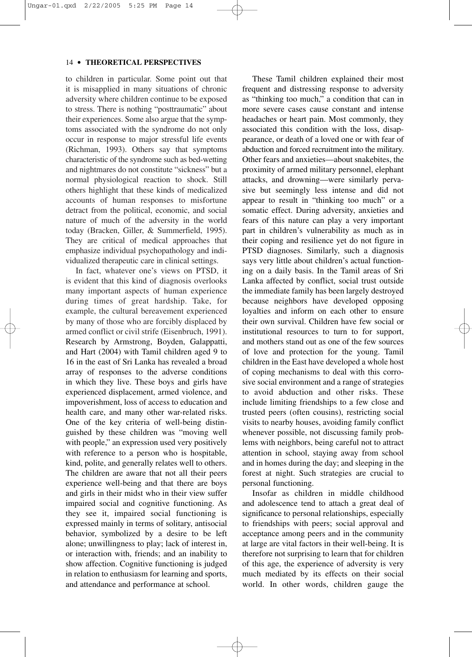to children in particular. Some point out that it is misapplied in many situations of chronic adversity where children continue to be exposed to stress. There is nothing "posttraumatic" about their experiences. Some also argue that the symptoms associated with the syndrome do not only occur in response to major stressful life events (Richman, 1993). Others say that symptoms characteristic of the syndrome such as bed-wetting and nightmares do not constitute "sickness" but a normal physiological reaction to shock. Still others highlight that these kinds of medicalized accounts of human responses to misfortune detract from the political, economic, and social nature of much of the adversity in the world today (Bracken, Giller, & Summerfield, 1995). They are critical of medical approaches that emphasize individual psychopathology and individualized therapeutic care in clinical settings.

In fact, whatever one's views on PTSD, it is evident that this kind of diagnosis overlooks many important aspects of human experience during times of great hardship. Take, for example, the cultural bereavement experienced by many of those who are forcibly displaced by armed conflict or civil strife (Eisenbruch, 1991). Research by Armstrong, Boyden, Galappatti, and Hart (2004) with Tamil children aged 9 to 16 in the east of Sri Lanka has revealed a broad array of responses to the adverse conditions in which they live. These boys and girls have experienced displacement, armed violence, and impoverishment, loss of access to education and health care, and many other war-related risks. One of the key criteria of well-being distinguished by these children was "moving well with people," an expression used very positively with reference to a person who is hospitable, kind, polite, and generally relates well to others. The children are aware that not all their peers experience well-being and that there are boys and girls in their midst who in their view suffer impaired social and cognitive functioning. As they see it, impaired social functioning is expressed mainly in terms of solitary, antisocial behavior, symbolized by a desire to be left alone; unwillingness to play; lack of interest in, or interaction with, friends; and an inability to show affection. Cognitive functioning is judged in relation to enthusiasm for learning and sports, and attendance and performance at school.

These Tamil children explained their most frequent and distressing response to adversity as "thinking too much," a condition that can in more severe cases cause constant and intense headaches or heart pain. Most commonly, they associated this condition with the loss, disappearance, or death of a loved one or with fear of abduction and forced recruitment into the military. Other fears and anxieties—about snakebites, the proximity of armed military personnel, elephant attacks, and drowning—were similarly pervasive but seemingly less intense and did not appear to result in "thinking too much" or a somatic effect. During adversity, anxieties and fears of this nature can play a very important part in children's vulnerability as much as in their coping and resilience yet do not figure in PTSD diagnoses. Similarly, such a diagnosis says very little about children's actual functioning on a daily basis. In the Tamil areas of Sri Lanka affected by conflict, social trust outside the immediate family has been largely destroyed because neighbors have developed opposing loyalties and inform on each other to ensure their own survival. Children have few social or institutional resources to turn to for support, and mothers stand out as one of the few sources of love and protection for the young. Tamil children in the East have developed a whole host of coping mechanisms to deal with this corrosive social environment and a range of strategies to avoid abduction and other risks. These include limiting friendships to a few close and trusted peers (often cousins), restricting social visits to nearby houses, avoiding family conflict whenever possible, not discussing family problems with neighbors, being careful not to attract attention in school, staying away from school and in homes during the day; and sleeping in the forest at night. Such strategies are crucial to personal functioning.

Insofar as children in middle childhood and adolescence tend to attach a great deal of significance to personal relationships, especially to friendships with peers; social approval and acceptance among peers and in the community at large are vital factors in their well-being. It is therefore not surprising to learn that for children of this age, the experience of adversity is very much mediated by its effects on their social world. In other words, children gauge the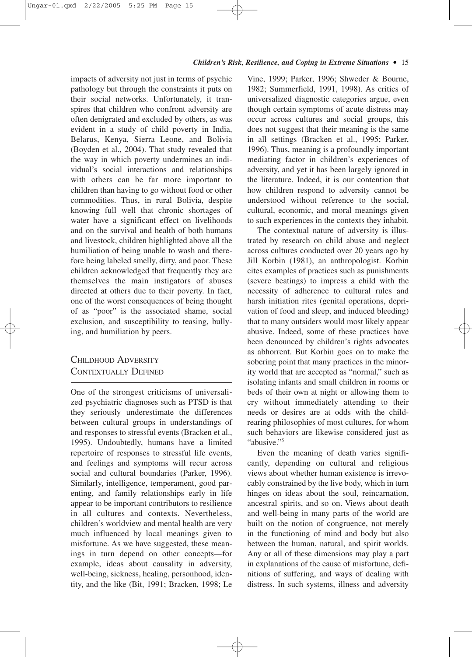impacts of adversity not just in terms of psychic pathology but through the constraints it puts on their social networks. Unfortunately, it transpires that children who confront adversity are often denigrated and excluded by others, as was evident in a study of child poverty in India, Belarus, Kenya, Sierra Leone, and Bolivia (Boyden et al., 2004). That study revealed that the way in which poverty undermines an individual's social interactions and relationships with others can be far more important to children than having to go without food or other commodities. Thus, in rural Bolivia, despite knowing full well that chronic shortages of water have a significant effect on livelihoods and on the survival and health of both humans and livestock, children highlighted above all the humiliation of being unable to wash and therefore being labeled smelly, dirty, and poor. These children acknowledged that frequently they are themselves the main instigators of abuses directed at others due to their poverty. In fact, one of the worst consequences of being thought of as "poor" is the associated shame, social exclusion, and susceptibility to teasing, bullying, and humiliation by peers.

# CHILDHOOD ADVERSITY CONTEXTUALLY DEFINED

One of the strongest criticisms of universalized psychiatric diagnoses such as PTSD is that they seriously underestimate the differences between cultural groups in understandings of and responses to stressful events (Bracken et al., 1995). Undoubtedly, humans have a limited repertoire of responses to stressful life events, and feelings and symptoms will recur across social and cultural boundaries (Parker, 1996). Similarly, intelligence, temperament, good parenting, and family relationships early in life appear to be important contributors to resilience in all cultures and contexts. Nevertheless, children's worldview and mental health are very much influenced by local meanings given to misfortune. As we have suggested, these meanings in turn depend on other concepts—for example, ideas about causality in adversity, well-being, sickness, healing, personhood, identity, and the like (Bit, 1991; Bracken, 1998; Le

Vine, 1999; Parker, 1996; Shweder & Bourne, 1982; Summerfield, 1991, 1998). As critics of universalized diagnostic categories argue, even though certain symptoms of acute distress may occur across cultures and social groups, this does not suggest that their meaning is the same in all settings (Bracken et al., 1995; Parker, 1996). Thus, meaning is a profoundly important mediating factor in children's experiences of adversity, and yet it has been largely ignored in the literature. Indeed, it is our contention that how children respond to adversity cannot be understood without reference to the social, cultural, economic, and moral meanings given to such experiences in the contexts they inhabit.

The contextual nature of adversity is illustrated by research on child abuse and neglect across cultures conducted over 20 years ago by Jill Korbin (1981), an anthropologist. Korbin cites examples of practices such as punishments (severe beatings) to impress a child with the necessity of adherence to cultural rules and harsh initiation rites (genital operations, deprivation of food and sleep, and induced bleeding) that to many outsiders would most likely appear abusive. Indeed, some of these practices have been denounced by children's rights advocates as abhorrent. But Korbin goes on to make the sobering point that many practices in the minority world that are accepted as "normal," such as isolating infants and small children in rooms or beds of their own at night or allowing them to cry without immediately attending to their needs or desires are at odds with the childrearing philosophies of most cultures, for whom such behaviors are likewise considered just as "abusive."<sup>5</sup>

Even the meaning of death varies significantly, depending on cultural and religious views about whether human existence is irrevocably constrained by the live body, which in turn hinges on ideas about the soul, reincarnation, ancestral spirits, and so on. Views about death and well-being in many parts of the world are built on the notion of congruence, not merely in the functioning of mind and body but also between the human, natural, and spirit worlds. Any or all of these dimensions may play a part in explanations of the cause of misfortune, definitions of suffering, and ways of dealing with distress. In such systems, illness and adversity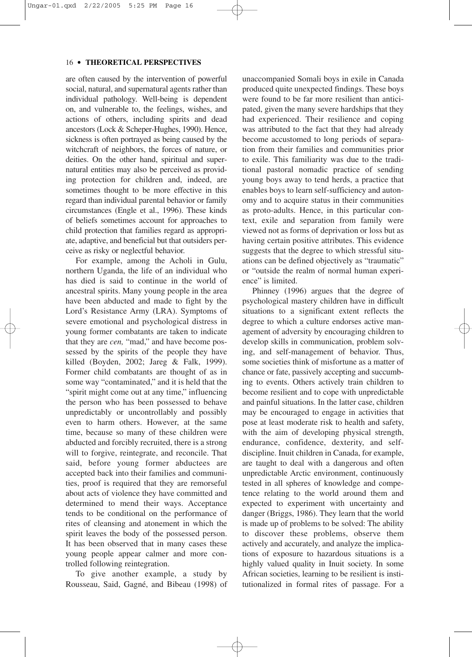are often caused by the intervention of powerful social, natural, and supernatural agents rather than individual pathology. Well-being is dependent on, and vulnerable to, the feelings, wishes, and actions of others, including spirits and dead ancestors (Lock & Scheper-Hughes, 1990). Hence, sickness is often portrayed as being caused by the witchcraft of neighbors, the forces of nature, or deities. On the other hand, spiritual and supernatural entities may also be perceived as providing protection for children and, indeed, are sometimes thought to be more effective in this regard than individual parental behavior or family circumstances (Engle et al., 1996). These kinds of beliefs sometimes account for approaches to child protection that families regard as appropriate, adaptive, and beneficial but that outsiders perceive as risky or neglectful behavior.

For example, among the Acholi in Gulu, northern Uganda, the life of an individual who has died is said to continue in the world of ancestral spirits. Many young people in the area have been abducted and made to fight by the Lord's Resistance Army (LRA). Symptoms of severe emotional and psychological distress in young former combatants are taken to indicate that they are *cen,* "mad," and have become possessed by the spirits of the people they have killed (Boyden, 2002; Jareg & Falk, 1999). Former child combatants are thought of as in some way "contaminated," and it is held that the "spirit might come out at any time," influencing the person who has been possessed to behave unpredictably or uncontrollably and possibly even to harm others. However, at the same time, because so many of these children were abducted and forcibly recruited, there is a strong will to forgive, reintegrate, and reconcile. That said, before young former abductees are accepted back into their families and communities, proof is required that they are remorseful about acts of violence they have committed and determined to mend their ways. Acceptance tends to be conditional on the performance of rites of cleansing and atonement in which the spirit leaves the body of the possessed person. It has been observed that in many cases these young people appear calmer and more controlled following reintegration.

To give another example, a study by Rousseau, Said, Gagné, and Bibeau (1998) of unaccompanied Somali boys in exile in Canada produced quite unexpected findings. These boys were found to be far more resilient than anticipated, given the many severe hardships that they had experienced. Their resilience and coping was attributed to the fact that they had already become accustomed to long periods of separation from their families and communities prior to exile. This familiarity was due to the traditional pastoral nomadic practice of sending young boys away to tend herds, a practice that enables boys to learn self-sufficiency and autonomy and to acquire status in their communities as proto-adults. Hence, in this particular context, exile and separation from family were viewed not as forms of deprivation or loss but as having certain positive attributes. This evidence suggests that the degree to which stressful situations can be defined objectively as "traumatic" or "outside the realm of normal human experience" is limited.

Phinney (1996) argues that the degree of psychological mastery children have in difficult situations to a significant extent reflects the degree to which a culture endorses active management of adversity by encouraging children to develop skills in communication, problem solving, and self-management of behavior. Thus, some societies think of misfortune as a matter of chance or fate, passively accepting and succumbing to events. Others actively train children to become resilient and to cope with unpredictable and painful situations. In the latter case, children may be encouraged to engage in activities that pose at least moderate risk to health and safety, with the aim of developing physical strength, endurance, confidence, dexterity, and selfdiscipline. Inuit children in Canada, for example, are taught to deal with a dangerous and often unpredictable Arctic environment, continuously tested in all spheres of knowledge and competence relating to the world around them and expected to experiment with uncertainty and danger (Briggs, 1986). They learn that the world is made up of problems to be solved: The ability to discover these problems, observe them actively and accurately, and analyze the implications of exposure to hazardous situations is a highly valued quality in Inuit society. In some African societies, learning to be resilient is institutionalized in formal rites of passage. For a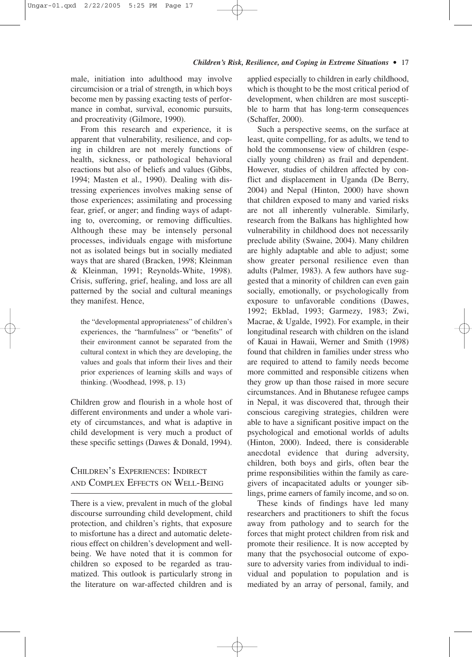male, initiation into adulthood may involve circumcision or a trial of strength, in which boys become men by passing exacting tests of performance in combat, survival, economic pursuits, and procreativity (Gilmore, 1990).

From this research and experience, it is apparent that vulnerability, resilience, and coping in children are not merely functions of health, sickness, or pathological behavioral reactions but also of beliefs and values (Gibbs, 1994; Masten et al., 1990). Dealing with distressing experiences involves making sense of those experiences; assimilating and processing fear, grief, or anger; and finding ways of adapting to, overcoming, or removing difficulties. Although these may be intensely personal processes, individuals engage with misfortune not as isolated beings but in socially mediated ways that are shared (Bracken, 1998; Kleinman & Kleinman, 1991; Reynolds-White, 1998). Crisis, suffering, grief, healing, and loss are all patterned by the social and cultural meanings they manifest. Hence,

the "developmental appropriateness" of children's experiences, the "harmfulness" or "benefits" of their environment cannot be separated from the cultural context in which they are developing, the values and goals that inform their lives and their prior experiences of learning skills and ways of thinking. (Woodhead, 1998, p. 13)

Children grow and flourish in a whole host of different environments and under a whole variety of circumstances, and what is adaptive in child development is very much a product of these specific settings (Dawes & Donald, 1994).

# CHILDREN'S EXPERIENCES: INDIRECT AND COMPLEX EFFECTS ON WELL-BEING

There is a view, prevalent in much of the global discourse surrounding child development, child protection, and children's rights, that exposure to misfortune has a direct and automatic deleterious effect on children's development and wellbeing. We have noted that it is common for children so exposed to be regarded as traumatized. This outlook is particularly strong in the literature on war-affected children and is applied especially to children in early childhood, which is thought to be the most critical period of development, when children are most susceptible to harm that has long-term consequences (Schaffer, 2000).

Such a perspective seems, on the surface at least, quite compelling, for as adults, we tend to hold the commonsense view of children (especially young children) as frail and dependent. However, studies of children affected by conflict and displacement in Uganda (De Berry, 2004) and Nepal (Hinton, 2000) have shown that children exposed to many and varied risks are not all inherently vulnerable. Similarly, research from the Balkans has highlighted how vulnerability in childhood does not necessarily preclude ability (Swaine, 2004). Many children are highly adaptable and able to adjust; some show greater personal resilience even than adults (Palmer, 1983). A few authors have suggested that a minority of children can even gain socially, emotionally, or psychologically from exposure to unfavorable conditions (Dawes, 1992; Ekblad, 1993; Garmezy, 1983; Zwi, Macrae, & Ugalde, 1992). For example, in their longitudinal research with children on the island of Kauai in Hawaii, Werner and Smith (1998) found that children in families under stress who are required to attend to family needs become more committed and responsible citizens when they grow up than those raised in more secure circumstances. And in Bhutanese refugee camps in Nepal, it was discovered that, through their conscious caregiving strategies, children were able to have a significant positive impact on the psychological and emotional worlds of adults (Hinton, 2000). Indeed, there is considerable anecdotal evidence that during adversity, children, both boys and girls, often bear the prime responsibilities within the family as caregivers of incapacitated adults or younger siblings, prime earners of family income, and so on.

These kinds of findings have led many researchers and practitioners to shift the focus away from pathology and to search for the forces that might protect children from risk and promote their resilience. It is now accepted by many that the psychosocial outcome of exposure to adversity varies from individual to individual and population to population and is mediated by an array of personal, family, and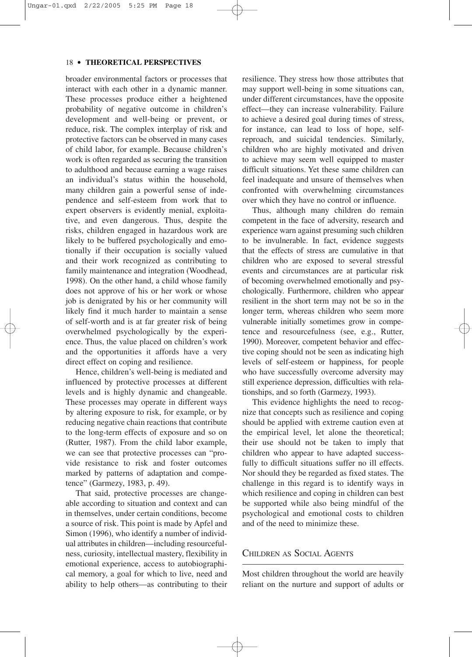broader environmental factors or processes that interact with each other in a dynamic manner. These processes produce either a heightened probability of negative outcome in children's development and well-being or prevent, or reduce, risk. The complex interplay of risk and protective factors can be observed in many cases of child labor, for example. Because children's work is often regarded as securing the transition to adulthood and because earning a wage raises an individual's status within the household, many children gain a powerful sense of independence and self-esteem from work that to expert observers is evidently menial, exploitative, and even dangerous. Thus, despite the risks, children engaged in hazardous work are likely to be buffered psychologically and emotionally if their occupation is socially valued and their work recognized as contributing to family maintenance and integration (Woodhead, 1998). On the other hand, a child whose family does not approve of his or her work or whose job is denigrated by his or her community will likely find it much harder to maintain a sense of self-worth and is at far greater risk of being overwhelmed psychologically by the experience. Thus, the value placed on children's work and the opportunities it affords have a very direct effect on coping and resilience.

Hence, children's well-being is mediated and influenced by protective processes at different levels and is highly dynamic and changeable. These processes may operate in different ways by altering exposure to risk, for example, or by reducing negative chain reactions that contribute to the long-term effects of exposure and so on (Rutter, 1987). From the child labor example, we can see that protective processes can "provide resistance to risk and foster outcomes marked by patterns of adaptation and competence" (Garmezy, 1983, p. 49).

That said, protective processes are changeable according to situation and context and can in themselves, under certain conditions, become a source of risk. This point is made by Apfel and Simon (1996), who identify a number of individual attributes in children—including resourcefulness, curiosity, intellectual mastery, flexibility in emotional experience, access to autobiographical memory, a goal for which to live, need and ability to help others—as contributing to their resilience. They stress how those attributes that may support well-being in some situations can, under different circumstances, have the opposite effect—they can increase vulnerability. Failure to achieve a desired goal during times of stress, for instance, can lead to loss of hope, selfreproach, and suicidal tendencies. Similarly, children who are highly motivated and driven to achieve may seem well equipped to master difficult situations. Yet these same children can feel inadequate and unsure of themselves when confronted with overwhelming circumstances over which they have no control or influence.

Thus, although many children do remain competent in the face of adversity, research and experience warn against presuming such children to be invulnerable. In fact, evidence suggests that the effects of stress are cumulative in that children who are exposed to several stressful events and circumstances are at particular risk of becoming overwhelmed emotionally and psychologically. Furthermore, children who appear resilient in the short term may not be so in the longer term, whereas children who seem more vulnerable initially sometimes grow in competence and resourcefulness (see, e.g., Rutter, 1990). Moreover, competent behavior and effective coping should not be seen as indicating high levels of self-esteem or happiness, for people who have successfully overcome adversity may still experience depression, difficulties with relationships, and so forth (Garmezy, 1993).

This evidence highlights the need to recognize that concepts such as resilience and coping should be applied with extreme caution even at the empirical level, let alone the theoretical; their use should not be taken to imply that children who appear to have adapted successfully to difficult situations suffer no ill effects. Nor should they be regarded as fixed states. The challenge in this regard is to identify ways in which resilience and coping in children can best be supported while also being mindful of the psychological and emotional costs to children and of the need to minimize these.

# CHILDREN AS SOCIAL AGENTS

Most children throughout the world are heavily reliant on the nurture and support of adults or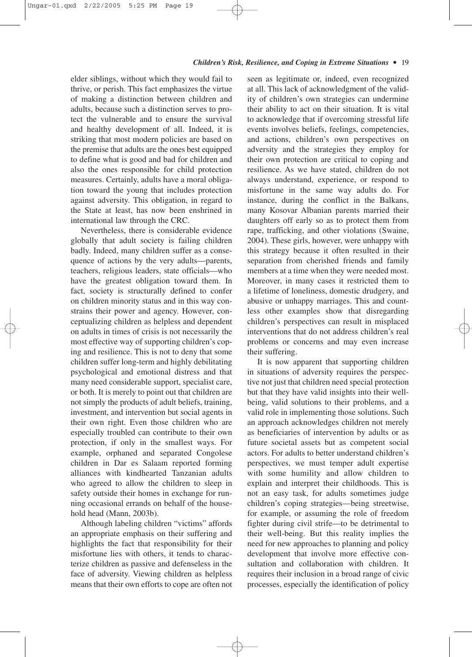elder siblings, without which they would fail to thrive, or perish. This fact emphasizes the virtue of making a distinction between children and adults, because such a distinction serves to protect the vulnerable and to ensure the survival and healthy development of all. Indeed, it is striking that most modern policies are based on the premise that adults are the ones best equipped to define what is good and bad for children and also the ones responsible for child protection measures. Certainly, adults have a moral obligation toward the young that includes protection against adversity. This obligation, in regard to the State at least, has now been enshrined in international law through the CRC.

Nevertheless, there is considerable evidence globally that adult society is failing children badly. Indeed, many children suffer as a consequence of actions by the very adults—parents, teachers, religious leaders, state officials—who have the greatest obligation toward them. In fact, society is structurally defined to confer on children minority status and in this way constrains their power and agency. However, conceptualizing children as helpless and dependent on adults in times of crisis is not necessarily the most effective way of supporting children's coping and resilience. This is not to deny that some children suffer long-term and highly debilitating psychological and emotional distress and that many need considerable support, specialist care, or both. It is merely to point out that children are not simply the products of adult beliefs, training, investment, and intervention but social agents in their own right. Even those children who are especially troubled can contribute to their own protection, if only in the smallest ways. For example, orphaned and separated Congolese children in Dar es Salaam reported forming alliances with kindhearted Tanzanian adults who agreed to allow the children to sleep in safety outside their homes in exchange for running occasional errands on behalf of the household head (Mann, 2003b).

Although labeling children "victims" affords an appropriate emphasis on their suffering and highlights the fact that responsibility for their misfortune lies with others, it tends to characterize children as passive and defenseless in the face of adversity. Viewing children as helpless means that their own efforts to cope are often not seen as legitimate or, indeed, even recognized at all. This lack of acknowledgment of the validity of children's own strategies can undermine their ability to act on their situation. It is vital to acknowledge that if overcoming stressful life events involves beliefs, feelings, competencies, and actions, children's own perspectives on adversity and the strategies they employ for their own protection are critical to coping and resilience. As we have stated, children do not always understand, experience, or respond to misfortune in the same way adults do. For instance, during the conflict in the Balkans, many Kosovar Albanian parents married their daughters off early so as to protect them from rape, trafficking, and other violations (Swaine, 2004). These girls, however, were unhappy with this strategy because it often resulted in their separation from cherished friends and family members at a time when they were needed most. Moreover, in many cases it restricted them to a lifetime of loneliness, domestic drudgery, and abusive or unhappy marriages. This and countless other examples show that disregarding children's perspectives can result in misplaced interventions that do not address children's real problems or concerns and may even increase their suffering.

It is now apparent that supporting children in situations of adversity requires the perspective not just that children need special protection but that they have valid insights into their wellbeing, valid solutions to their problems, and a valid role in implementing those solutions. Such an approach acknowledges children not merely as beneficiaries of intervention by adults or as future societal assets but as competent social actors. For adults to better understand children's perspectives, we must temper adult expertise with some humility and allow children to explain and interpret their childhoods. This is not an easy task, for adults sometimes judge children's coping strategies—being streetwise, for example, or assuming the role of freedom fighter during civil strife—to be detrimental to their well-being. But this reality implies the need for new approaches to planning and policy development that involve more effective consultation and collaboration with children. It requires their inclusion in a broad range of civic processes, especially the identification of policy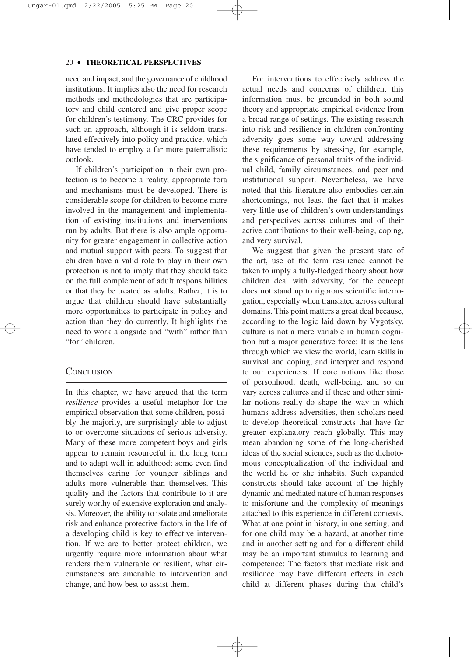need and impact, and the governance of childhood institutions. It implies also the need for research methods and methodologies that are participatory and child centered and give proper scope for children's testimony. The CRC provides for such an approach, although it is seldom translated effectively into policy and practice, which have tended to employ a far more paternalistic outlook.

If children's participation in their own protection is to become a reality, appropriate fora and mechanisms must be developed. There is considerable scope for children to become more involved in the management and implementation of existing institutions and interventions run by adults. But there is also ample opportunity for greater engagement in collective action and mutual support with peers. To suggest that children have a valid role to play in their own protection is not to imply that they should take on the full complement of adult responsibilities or that they be treated as adults. Rather, it is to argue that children should have substantially more opportunities to participate in policy and action than they do currently. It highlights the need to work alongside and "with" rather than "for" children.

# **CONCLUSION**

In this chapter, we have argued that the term *resilience* provides a useful metaphor for the empirical observation that some children, possibly the majority, are surprisingly able to adjust to or overcome situations of serious adversity. Many of these more competent boys and girls appear to remain resourceful in the long term and to adapt well in adulthood; some even find themselves caring for younger siblings and adults more vulnerable than themselves. This quality and the factors that contribute to it are surely worthy of extensive exploration and analysis. Moreover, the ability to isolate and ameliorate risk and enhance protective factors in the life of a developing child is key to effective intervention. If we are to better protect children, we urgently require more information about what renders them vulnerable or resilient, what circumstances are amenable to intervention and change, and how best to assist them.

For interventions to effectively address the actual needs and concerns of children, this information must be grounded in both sound theory and appropriate empirical evidence from a broad range of settings. The existing research into risk and resilience in children confronting adversity goes some way toward addressing these requirements by stressing, for example, the significance of personal traits of the individual child, family circumstances, and peer and institutional support. Nevertheless, we have noted that this literature also embodies certain shortcomings, not least the fact that it makes very little use of children's own understandings and perspectives across cultures and of their active contributions to their well-being, coping, and very survival.

We suggest that given the present state of the art, use of the term resilience cannot be taken to imply a fully-fledged theory about how children deal with adversity, for the concept does not stand up to rigorous scientific interrogation, especially when translated across cultural domains. This point matters a great deal because, according to the logic laid down by Vygotsky, culture is not a mere variable in human cognition but a major generative force: It is the lens through which we view the world, learn skills in survival and coping, and interpret and respond to our experiences. If core notions like those of personhood, death, well-being, and so on vary across cultures and if these and other similar notions really do shape the way in which humans address adversities, then scholars need to develop theoretical constructs that have far greater explanatory reach globally. This may mean abandoning some of the long-cherished ideas of the social sciences, such as the dichotomous conceptualization of the individual and the world he or she inhabits. Such expanded constructs should take account of the highly dynamic and mediated nature of human responses to misfortune and the complexity of meanings attached to this experience in different contexts. What at one point in history, in one setting, and for one child may be a hazard, at another time and in another setting and for a different child may be an important stimulus to learning and competence: The factors that mediate risk and resilience may have different effects in each child at different phases during that child's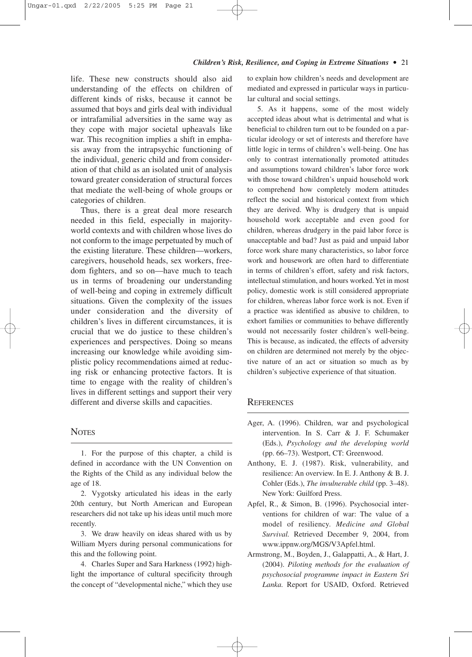life. These new constructs should also aid understanding of the effects on children of different kinds of risks, because it cannot be assumed that boys and girls deal with individual or intrafamilial adversities in the same way as they cope with major societal upheavals like war. This recognition implies a shift in emphasis away from the intrapsychic functioning of the individual, generic child and from consideration of that child as an isolated unit of analysis toward greater consideration of structural forces that mediate the well-being of whole groups or categories of children.

Thus, there is a great deal more research needed in this field, especially in majorityworld contexts and with children whose lives do not conform to the image perpetuated by much of the existing literature. These children—workers, caregivers, household heads, sex workers, freedom fighters, and so on—have much to teach us in terms of broadening our understanding of well-being and coping in extremely difficult situations. Given the complexity of the issues under consideration and the diversity of children's lives in different circumstances, it is crucial that we do justice to these children's experiences and perspectives. Doing so means increasing our knowledge while avoiding simplistic policy recommendations aimed at reducing risk or enhancing protective factors. It is time to engage with the reality of children's lives in different settings and support their very different and diverse skills and capacities.

# **NOTES**

1. For the purpose of this chapter, a child is defined in accordance with the UN Convention on the Rights of the Child as any individual below the age of 18.

2. Vygotsky articulated his ideas in the early 20th century, but North American and European researchers did not take up his ideas until much more recently.

3. We draw heavily on ideas shared with us by William Myers during personal communications for this and the following point.

4. Charles Super and Sara Harkness (1992) highlight the importance of cultural specificity through the concept of "developmental niche," which they use to explain how children's needs and development are mediated and expressed in particular ways in particular cultural and social settings.

5. As it happens, some of the most widely accepted ideas about what is detrimental and what is beneficial to children turn out to be founded on a particular ideology or set of interests and therefore have little logic in terms of children's well-being. One has only to contrast internationally promoted attitudes and assumptions toward children's labor force work with those toward children's unpaid household work to comprehend how completely modern attitudes reflect the social and historical context from which they are derived. Why is drudgery that is unpaid household work acceptable and even good for children, whereas drudgery in the paid labor force is unacceptable and bad? Just as paid and unpaid labor force work share many characteristics, so labor force work and housework are often hard to differentiate in terms of children's effort, safety and risk factors, intellectual stimulation, and hours worked. Yet in most policy, domestic work is still considered appropriate for children, whereas labor force work is not. Even if a practice was identified as abusive to children, to exhort families or communities to behave differently would not necessarily foster children's well-being. This is because, as indicated, the effects of adversity on children are determined not merely by the objective nature of an act or situation so much as by children's subjective experience of that situation.

# **REFERENCES**

- Ager, A. (1996). Children, war and psychological intervention. In S. Carr & J. F. Schumaker (Eds.), *Psychology and the developing world* (pp. 66–73). Westport, CT: Greenwood.
- Anthony, E. J. (1987). Risk, vulnerability, and resilience: An overview. In E. J. Anthony & B. J. Cohler (Eds.), *The invulnerable child* (pp. 3–48). New York: Guilford Press.
- Apfel, R., & Simon, B. (1996). Psychosocial interventions for children of war: The value of a model of resiliency. *Medicine and Global Survival.* Retrieved December 9, 2004, from www.ippnw.org/MGS/V3Apfel.html.
- Armstrong, M., Boyden, J., Galappatti, A., & Hart, J. (2004). *Piloting methods for the evaluation of psychosocial programme impact in Eastern Sri Lanka.* Report for USAID, Oxford. Retrieved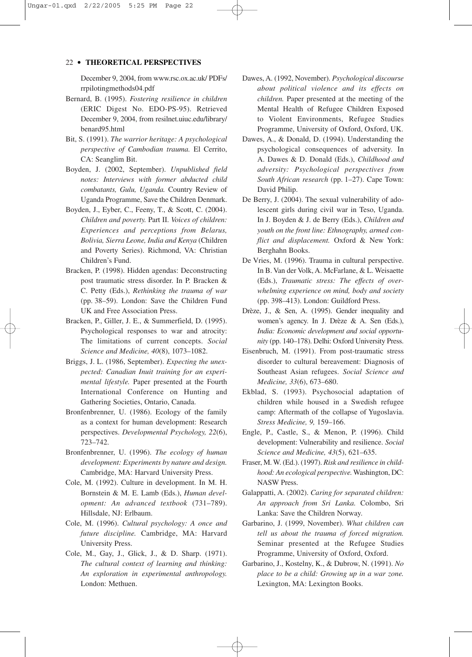December 9, 2004, from www.rsc.ox.ac.uk/ PDFs/ rrpilotingmethods04.pdf

- Bernard, B. (1995). *Fostering resilience in children* (ERIC Digest No. EDO-PS-95). Retrieved December 9, 2004, from resilnet.uiuc.edu/library/ benard95.html
- Bit, S. (1991). *The warrior heritage: A psychological perspective of Cambodian trauma.* El Cerrito, CA: Seanglim Bit.
- Boyden, J. (2002, September). *Unpublished field notes: Interviews with former abducted child combatants, Gulu, Uganda.* Country Review of Uganda Programme, Save the Children Denmark.
- Boyden, J., Eyber, C., Feeny, T., & Scott, C. (2004). *Children and poverty.* Part II. *Voices of children: Experiences and perceptions from Belarus, Bolivia, Sierra Leone, India and Kenya* (Children and Poverty Series). Richmond, VA: Christian Children's Fund.
- Bracken, P. (1998). Hidden agendas: Deconstructing post traumatic stress disorder. In P. Bracken & C. Petty (Eds.), *Rethinking the trauma of war* (pp. 38–59). London: Save the Children Fund UK and Free Association Press.
- Bracken, P., Giller, J. E., & Summerfield, D. (1995). Psychological responses to war and atrocity: The limitations of current concepts. *Social Science and Medicine, 40*(8), 1073–1082.
- Briggs, J. L. (1986, September). *Expecting the unexpected: Canadian Inuit training for an experimental lifestyle.* Paper presented at the Fourth International Conference on Hunting and Gathering Societies, Ontario, Canada.
- Bronfenbrenner, U. (1986). Ecology of the family as a context for human development: Research perspectives. *Developmental Psychology, 22*(6), 723–742.
- Bronfenbrenner, U. (1996). *The ecology of human development: Experiments by nature and design.* Cambridge, MA: Harvard University Press.
- Cole, M. (1992). Culture in development. In M. H. Bornstein & M. E. Lamb (Eds.), *Human development: An advanced textbook* (731–789). Hillsdale, NJ: Erlbaum.
- Cole, M. (1996). *Cultural psychology: A once and future discipline.* Cambridge, MA: Harvard University Press.
- Cole, M., Gay, J., Glick, J., & D. Sharp. (1971). *The cultural context of learning and thinking: An exploration in experimental anthropology.* London: Methuen.
- Dawes, A. (1992, November). *Psychological discourse about political violence and its effects on children.* Paper presented at the meeting of the Mental Health of Refugee Children Exposed to Violent Environments, Refugee Studies Programme, University of Oxford, Oxford, UK.
- Dawes, A., & Donald, D. (1994). Understanding the psychological consequences of adversity. In A. Dawes & D. Donald (Eds.), *Childhood and adversity: Psychological perspectives from South African research* (pp. 1–27). Cape Town: David Philip.
- De Berry, J. (2004). The sexual vulnerability of adolescent girls during civil war in Teso, Uganda. In J. Boyden & J. de Berry (Eds.), *Children and youth on the front line: Ethnography, armed conflict and displacement.* Oxford & New York: Berghahn Books.
- De Vries, M. (1996). Trauma in cultural perspective. In B. Van der Volk, A. McFarlane, & L. Weisaette (Eds.), *Traumatic stress: The effects of overwhelming experience on mind, body and society* (pp. 398–413). London: Guildford Press.
- Drèze, J., & Sen, A. (1995). Gender inequality and women's agency. In J. Drèze & A. Sen (Eds.), *India: Economic development and social opportunity* (pp. 140–178). Delhi: Oxford University Press.
- Eisenbruch, M. (1991). From post-traumatic stress disorder to cultural bereavement: Diagnosis of Southeast Asian refugees. *Social Science and Medicine, 33*(6), 673–680.
- Ekblad, S. (1993). Psychosocial adaptation of children while housed in a Swedish refugee camp: Aftermath of the collapse of Yugoslavia. *Stress Medicine, 9,* 159–166.
- Engle, P., Castle, S., & Menon, P. (1996). Child development: Vulnerability and resilience. *Social Science and Medicine, 43*(5), 621–635.
- Fraser, M. W. (Ed.). (1997). *Risk and resilience in childhood: An ecological perspective.*Washington, DC: NASW Press.
- Galappatti, A. (2002). *Caring for separated children: An approach from Sri Lanka.* Colombo, Sri Lanka: Save the Children Norway.
- Garbarino, J. (1999, November). *What children can tell us about the trauma of forced migration.* Seminar presented at the Refugee Studies Programme, University of Oxford, Oxford.
- Garbarino, J., Kostelny, K., & Dubrow, N. (1991). *No place to be a child: Growing up in a war zone.* Lexington, MA: Lexington Books.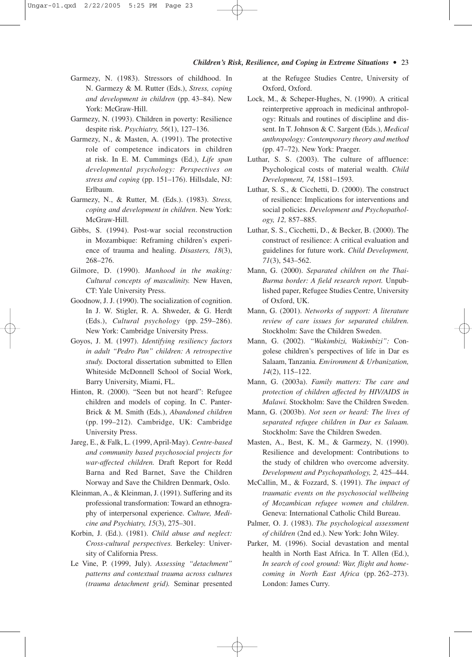- Garmezy, N. (1983). Stressors of childhood. In N. Garmezy & M. Rutter (Eds.), *Stress, coping and development in children* (pp. 43–84). New York: McGraw-Hill.
- Garmezy, N. (1993). Children in poverty: Resilience despite risk. *Psychiatry, 56*(1), 127–136.
- Garmezy, N., & Masten, A. (1991). The protective role of competence indicators in children at risk. In E. M. Cummings (Ed.), *Life span developmental psychology: Perspectives on stress and coping* (pp. 151–176). Hillsdale, NJ: Erlbaum.
- Garmezy, N., & Rutter, M. (Eds.). (1983). *Stress, coping and development in children*. New York: McGraw-Hill.
- Gibbs, S. (1994). Post-war social reconstruction in Mozambique: Reframing children's experience of trauma and healing. *Disasters, 18*(3), 268–276.
- Gilmore, D. (1990). *Manhood in the making: Cultural concepts of masculinity.* New Haven, CT: Yale University Press.
- Goodnow, J. J. (1990). The socialization of cognition. In J. W. Stigler, R. A. Shweder, & G. Herdt (Eds.), *Cultural psychology* (pp. 259–286). New York: Cambridge University Press.
- Goyos, J. M. (1997). *Identifying resiliency factors in adult "Pedro Pan" children: A retrospective study.* Doctoral dissertation submitted to Ellen Whiteside McDonnell School of Social Work, Barry University, Miami, FL.
- Hinton, R. (2000). "Seen but not heard": Refugee children and models of coping. In C. Panter-Brick & M. Smith (Eds.), *Abandoned children* (pp. 199–212). Cambridge, UK: Cambridge University Press.
- Jareg, E., & Falk, L. (1999, April-May). *Centre-based and community based psychosocial projects for war-affected children.* Draft Report for Redd Barna and Red Barnet, Save the Children Norway and Save the Children Denmark, Oslo.
- Kleinman, A., & Kleinman, J. (1991). Suffering and its professional transformation: Toward an ethnography of interpersonal experience. *Culture, Medicine and Psychiatry, 15*(3), 275–301.
- Korbin, J. (Ed.). (1981). *Child abuse and neglect: Cross-cultural perspectives.* Berkeley: University of California Press.
- Le Vine, P. (1999, July). *Assessing "detachment" patterns and contextual trauma across cultures (trauma detachment grid).* Seminar presented

at the Refugee Studies Centre, University of Oxford, Oxford.

- Lock, M., & Scheper-Hughes, N. (1990). A critical reinterpretive approach in medicinal anthropology: Rituals and routines of discipline and dissent. In T. Johnson & C. Sargent (Eds.), *Medical anthropology: Contemporary theory and method* (pp. 47–72). New York: Praeger.
- Luthar, S. S. (2003). The culture of affluence: Psychological costs of material wealth. *Child Development, 74,* 1581–1593.
- Luthar, S. S., & Cicchetti, D. (2000). The construct of resilience: Implications for interventions and social policies. *Development and Psychopathology, 12,* 857–885.
- Luthar, S. S., Cicchetti, D., & Becker, B. (2000). The construct of resilience: A critical evaluation and guidelines for future work. *Child Development, 71*(3), 543–562.
- Mann, G. (2000). *Separated children on the Thai-Burma border: A field research report.* Unpublished paper, Refugee Studies Centre, University of Oxford, UK.
- Mann, G. (2001). *Networks of support: A literature review of care issues for separated children.* Stockholm: Save the Children Sweden.
- Mann, G. (2002). *"Wakimbizi, Wakimbizi":* Congolese children's perspectives of life in Dar es Salaam, Tanzania*. Environment & Urbanization, 14*(2), 115–122.
- Mann, G. (2003a). *Family matters: The care and protection of children affected by HIV/AIDS in Malawi.* Stockholm: Save the Children Sweden.
- Mann, G. (2003b). *Not seen or heard: The lives of separated refugee children in Dar es Salaam.* Stockholm: Save the Children Sweden.
- Masten, A., Best, K. M., & Garmezy, N. (1990). Resilience and development: Contributions to the study of children who overcome adversity. *Development and Psychopathology, 2,* 425–444.
- McCallin, M., & Fozzard, S. (1991). *The impact of traumatic events on the psychosocial wellbeing of Mozambican refugee women and children*. Geneva: International Catholic Child Bureau.
- Palmer, O. J. (1983). *The psychological assessment of children* (2nd ed.). New York: John Wiley.
- Parker, M. (1996). Social devastation and mental health in North East Africa. In T. Allen (Ed.), *In search of cool ground: War, flight and homecoming in North East Africa* (pp. 262–273). London: James Curry.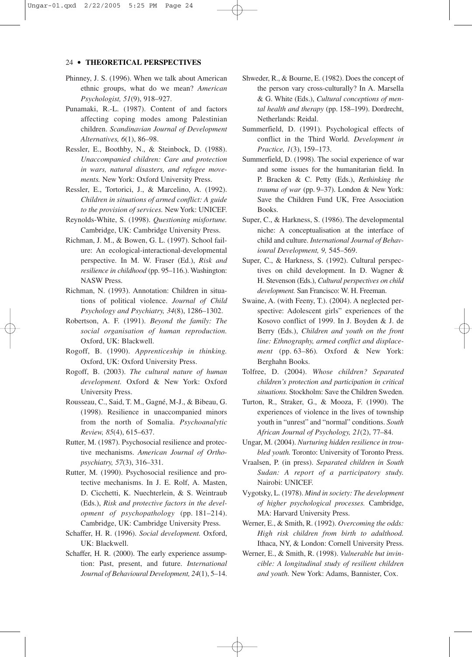- Phinney, J. S. (1996). When we talk about American ethnic groups, what do we mean? *American Psychologist, 51*(9), 918–927.
- Punamaki, R.-L. (1987). Content of and factors affecting coping modes among Palestinian children. *Scandinavian Journal of Development Alternatives, 6*(1), 86–98.
- Ressler, E., Boothby, N., & Steinbock, D. (1988). *Unaccompanied children: Care and protection in wars, natural disasters, and refugee movements.* New York: Oxford University Press.
- Ressler, E., Tortorici, J., & Marcelino, A. (1992). *Children in situations of armed conflict: A guide to the provision of services.* New York: UNICEF.
- Reynolds-White, S. (1998). *Questioning misfortune.* Cambridge, UK: Cambridge University Press.
- Richman, J. M., & Bowen, G. L. (1997). School failure: An ecological-interactional-developmental perspective. In M. W. Fraser (Ed.), *Risk and resilience in childhood* (pp. 95–116.). Washington: NASW Press.
- Richman, N. (1993). Annotation: Children in situations of political violence. *Journal of Child Psychology and Psychiatry, 34*(8), 1286–1302.
- Robertson, A. F. (1991). *Beyond the family: The social organisation of human reproduction.* Oxford, UK: Blackwell.
- Rogoff, B. (1990). *Apprenticeship in thinking.* Oxford, UK: Oxford University Press.
- Rogoff, B. (2003). *The cultural nature of human development.* Oxford & New York: Oxford University Press.
- Rousseau, C., Said, T. M., Gagné, M-J., & Bibeau, G. (1998). Resilience in unaccompanied minors from the north of Somalia. *Psychoanalytic Review, 85*(4), 615–637.
- Rutter, M. (1987). Psychosocial resilience and protective mechanisms. *American Journal of Orthopsychiatry, 57*(3), 316–331.
- Rutter, M. (1990). Psychosocial resilience and protective mechanisms. In J. E. Rolf, A. Masten, D. Cicchetti, K. Nuechterlein, & S. Weintraub (Eds.), *Risk and protective factors in the development of psychopathology* (pp. 181–214). Cambridge, UK: Cambridge University Press.
- Schaffer, H. R. (1996). *Social development.* Oxford, UK: Blackwell.
- Schaffer, H. R. (2000). The early experience assumption: Past, present, and future. *International Journal of Behavioural Development, 24*(1), 5–14.
- Shweder, R., & Bourne, E. (1982). Does the concept of the person vary cross-culturally? In A. Marsella & G. White (Eds.), *Cultural conceptions of mental health and therapy* (pp. 158–199). Dordrecht, Netherlands: Reidal.
- Summerfield, D. (1991). Psychological effects of conflict in the Third World. *Development in Practice, 1*(3), 159–173.
- Summerfield, D. (1998). The social experience of war and some issues for the humanitarian field. In P. Bracken & C. Petty (Eds.), *Rethinking the trauma of war* (pp. 9–37). London & New York: Save the Children Fund UK, Free Association Books.
- Super, C., & Harkness, S. (1986). The developmental niche: A conceptualisation at the interface of child and culture. *International Journal of Behavioural Development, 9,* 545–569.
- Super, C., & Harkness, S. (1992). Cultural perspectives on child development. In D. Wagner & H. Stevenson (Eds.), *Cultural perspectives on child development.* San Francisco: W. H. Freeman.
- Swaine, A. (with Feeny, T.). (2004). A neglected perspective: Adolescent girls" experiences of the Kosovo conflict of 1999. In J. Boyden & J. de Berry (Eds.), *Children and youth on the front line: Ethnography, armed conflict and displacement* (pp. 63–86)*.* Oxford & New York: Berghahn Books.
- Tolfree, D. (2004). *Whose children? Separated children's protection and participation in critical situations.* Stockholm: Save the Children Sweden.
- Turton, R., Straker, G., & Mooza, F. (1990). The experiences of violence in the lives of township youth in "unrest" and "normal" conditions. *South African Journal of Psychology, 21*(2), 77–84.
- Ungar, M. (2004). *Nurturing hidden resilience in troubled youth.* Toronto: University of Toronto Press.
- Vraalsen, P. (in press). *Separated children in South Sudan: A report of a participatory study.* Nairobi: UNICEF.
- Vygotsky, L. (1978). *Mind in society: The development of higher psychological processes.* Cambridge, MA: Harvard University Press.
- Werner, E., & Smith, R. (1992). *Overcoming the odds: High risk children from birth to adulthood.* Ithaca, NY, & London: Cornell University Press.
- Werner, E., & Smith, R. (1998). *Vulnerable but invincible: A longitudinal study of resilient children and youth.* New York: Adams, Bannister, Cox.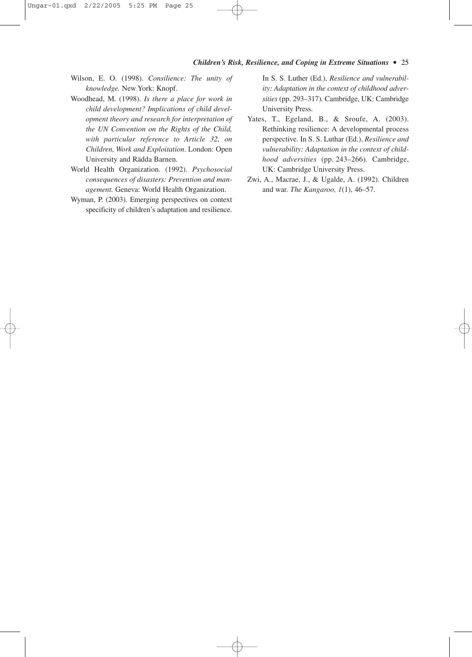- Wilson, E. O. (1998). *Consilience: The unity of knowledge.* New York: Knopf.
- Woodhead, M. (1998). *Is there a place for work in child development? Implications of child development theory and research for interpretation of the UN Convention on the Rights of the Child, with particular reference to Article 32, on Children, Work and Exploitation*. London: Open University and Rädda Barnen.
- World Health Organization. (1992). *Psychosocial consequences of disasters: Prevention and management.* Geneva: World Health Organization.
- Wyman, P. (2003). Emerging perspectives on context specificity of children's adaptation and resilience.

In S. S. Luther (Ed.), *Resilience and vulnerability: Adaptation in the context of childhood adversities* (pp. 293–317)*.* Cambridge, UK: Cambridge University Press.

- Yates, T., Egeland, B., & Sroufe, A. (2003). Rethinking resilience: A developmental process perspective. In S. S. Luthar (Ed.), *Resilience and vulnerability: Adaptation in the context of childhood adversities* (pp. 243–266)*.* Cambridge, UK: Cambridge University Press.
- Zwi, A., Macrae, J., & Ugalde, A. (1992). Children and war. *The Kangaroo, 1*(1), 46–57.